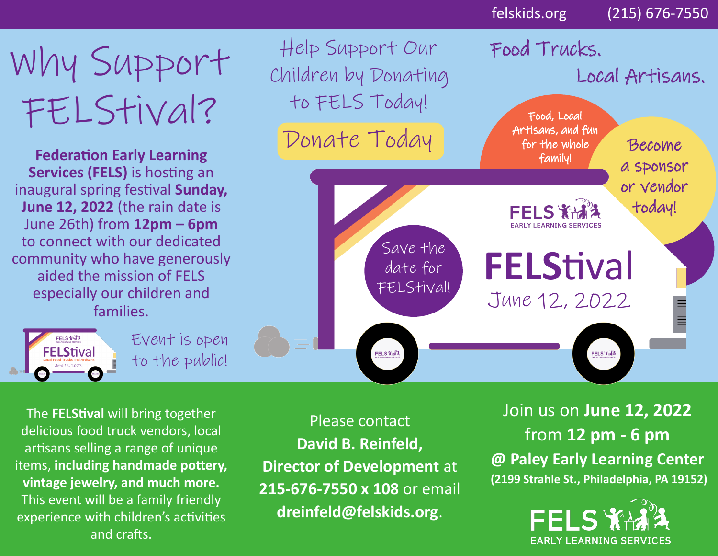## Why Support FELStival?

**Federation Early Learning Services (FELS)** is hosting an inaugural spring festival **Sunday, June 12, 2022** (the rain date is June 26th) from **12pm – 6pm**  to connect with our dedicated community who have generously aided the mission of FELS especially our children and families.

> FELS THAT **FELStival**

Event is open to the public!

The **FELStival** will bring together delicious food truck vendors, local artisans selling a range of unique items, **including handmade pottery, vintage jewelry, and much more.**  This event will be a family friendly experience with children's activities and crafts.

Please contact **David B. Reinfeld, Director of Development** at **215-676-7550 x 108** or email **dreinfeld@felskids.org**.

Join us on **June 12, 2022** from **12 pm - 6 pm @ Paley Early Learning Center (2199 Strahle St., Philadelphia, PA 19152)**

felskids.org (215) 676-7550